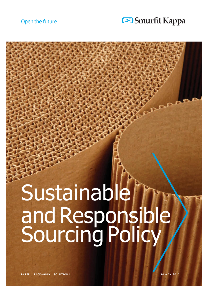#### Smurfit Kappa

# Sustainable andResponsible Sourcing Policy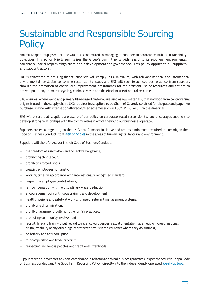## Sustainable and Responsible Sourcing **Policy**

Smurfit Kappa Group ('SKG' or 'the Group') is committed to managing its suppliers in accordance with its sustainability objectives. This policy briefly summarises the Group's commitments with regard to its suppliers' environmental compliance, social responsibility, sustainable development and governance. This policy applies to all suppliers and subcontractors.

SKG is committed to ensuring that its suppliers will comply, as a minimum, with relevant national and international environmental legislation concerning sustainability issues and SKG will seek to achieve best practice from suppliers through the promotion of continuous improvement programmes for the efficient use of resources and actions to prevent pollution, promote recycling, minimise waste and the efficient use of natural resources.

SKG ensures, where wood and primary fibre-based material are used as raw materials, that no wood from controversial origins is used in the supply chain. SKG requires its suppliers to be Chain of Custody certified forthe pulp and paper we purchase, in line with internationally recognised schemes such as FSC®, PEFC, or SFI in the Americas.

SKG will ensure that suppliers are aware of our policy on corporate social responsibility, and encourages suppliers to develop strong relationships with the communities in which their and our businesses operate.

Suppliers are encouraged to join the UN Global Compact initiative and are, as a minimum, required to commit, in their Code of Business Conduct, to its ten [principles](https://www.unglobalcompact.org/what-is-gc/mission/principles) in the areas of human rights, labour and environment.

Suppliers will therefore cover in their Code of Business Conduct:

- $\blacksquare$  the freedom of association and collective bargaining,
- prohibiting child labour,
- prohibiting forced labour,
- treating employees humanely,
- working times in accordance with internationally recognised standards,
- respecting employee contributions,
- fair compensation with no disciplinary wage deduction,
- encouragement of continuous training and development,
- health, hygiene and safety at work with use of relevant management systems,
- prohibiting discrimination,
- prohibit harassment, bullying, other unfair practices,
- promoting community involvement,
- recruit, hire and train without regard to race, colour, gender, sexual orientation, age, religion, creed, national origin, disability or any other legally protected status in the countries where they do business,
- no bribery and anti-corruption,
- fair competition and trade practices,
- respecting Indigenous peoples and traditional livelihoods.

Suppliers are able to report any non-compliance in relation to ethical business practices, as perthe Smurfit Kappa Code of Business Conduct and theGood Faith Reporting Policy, directly into the independently operated [Speak-Up](https://www.smurfitkappa.com/about/ethics/speak-up-services) tool.